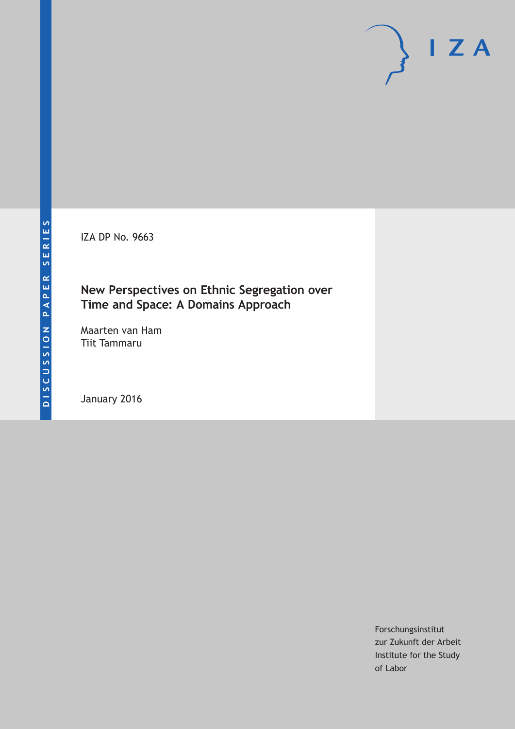IZA DP No. 9663

### **New Perspectives on Ethnic Segregation over Time and Space: A Domains Approach**

Maarten van Ham Tiit Tammaru

January 2016

Forschungsinstitut zur Zukunft der Arbeit Institute for the Study of Labor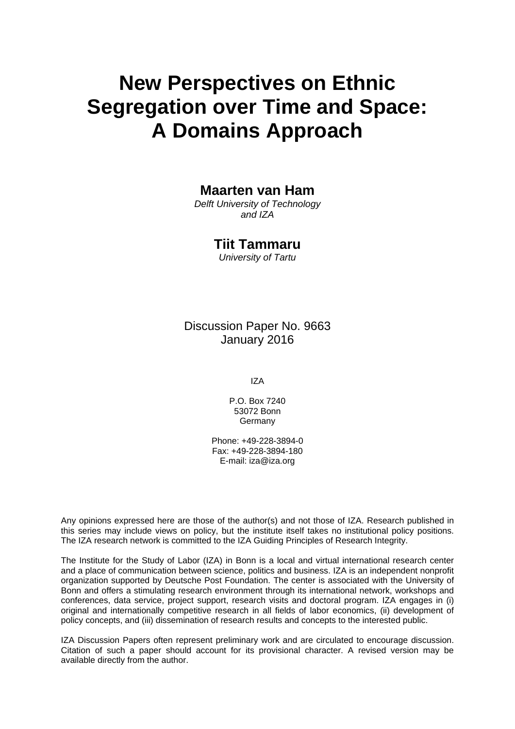# **New Perspectives on Ethnic Segregation over Time and Space: A Domains Approach**

### **Maarten van Ham**

*Delft University of Technology and IZA* 

### **Tiit Tammaru**

*University of Tartu* 

Discussion Paper No. 9663 January 2016

IZA

P.O. Box 7240 53072 Bonn **Germany** 

Phone: +49-228-3894-0 Fax: +49-228-3894-180 E-mail: iza@iza.org

Any opinions expressed here are those of the author(s) and not those of IZA. Research published in this series may include views on policy, but the institute itself takes no institutional policy positions. The IZA research network is committed to the IZA Guiding Principles of Research Integrity.

The Institute for the Study of Labor (IZA) in Bonn is a local and virtual international research center and a place of communication between science, politics and business. IZA is an independent nonprofit organization supported by Deutsche Post Foundation. The center is associated with the University of Bonn and offers a stimulating research environment through its international network, workshops and conferences, data service, project support, research visits and doctoral program. IZA engages in (i) original and internationally competitive research in all fields of labor economics, (ii) development of policy concepts, and (iii) dissemination of research results and concepts to the interested public.

IZA Discussion Papers often represent preliminary work and are circulated to encourage discussion. Citation of such a paper should account for its provisional character. A revised version may be available directly from the author.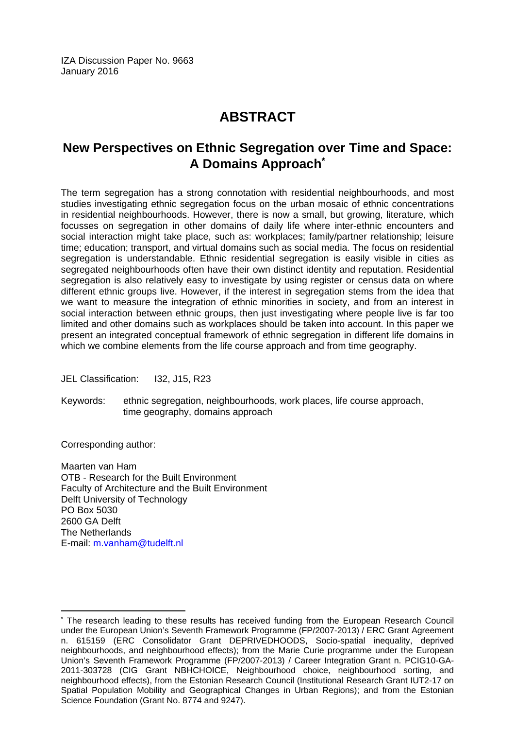IZA Discussion Paper No. 9663 January 2016

## **ABSTRACT**

### **New Perspectives on Ethnic Segregation over Time and Space: A Domains Approach\***

The term segregation has a strong connotation with residential neighbourhoods, and most studies investigating ethnic segregation focus on the urban mosaic of ethnic concentrations in residential neighbourhoods. However, there is now a small, but growing, literature, which focusses on segregation in other domains of daily life where inter-ethnic encounters and social interaction might take place, such as: workplaces; family/partner relationship; leisure time; education; transport, and virtual domains such as social media. The focus on residential segregation is understandable. Ethnic residential segregation is easily visible in cities as segregated neighbourhoods often have their own distinct identity and reputation. Residential segregation is also relatively easy to investigate by using register or census data on where different ethnic groups live. However, if the interest in segregation stems from the idea that we want to measure the integration of ethnic minorities in society, and from an interest in social interaction between ethnic groups, then just investigating where people live is far too limited and other domains such as workplaces should be taken into account. In this paper we present an integrated conceptual framework of ethnic segregation in different life domains in which we combine elements from the life course approach and from time geography.

JEL Classification: I32, J15, R23

Keywords: ethnic segregation, neighbourhoods, work places, life course approach, time geography, domains approach

Corresponding author:

 $\overline{a}$ 

Maarten van Ham OTB - Research for the Built Environment Faculty of Architecture and the Built Environment Delft University of Technology PO Box 5030 2600 GA Delft The Netherlands E-mail: m.vanham@tudelft.nl

<sup>\*</sup> The research leading to these results has received funding from the European Research Council under the European Union's Seventh Framework Programme (FP/2007-2013) / ERC Grant Agreement n. 615159 (ERC Consolidator Grant DEPRIVEDHOODS, Socio-spatial inequality, deprived neighbourhoods, and neighbourhood effects); from the Marie Curie programme under the European Union's Seventh Framework Programme (FP/2007-2013) / Career Integration Grant n. PCIG10-GA-2011-303728 (CIG Grant NBHCHOICE, Neighbourhood choice, neighbourhood sorting, and neighbourhood effects), from the Estonian Research Council (Institutional Research Grant IUT2-17 on Spatial Population Mobility and Geographical Changes in Urban Regions); and from the Estonian Science Foundation (Grant No. 8774 and 9247).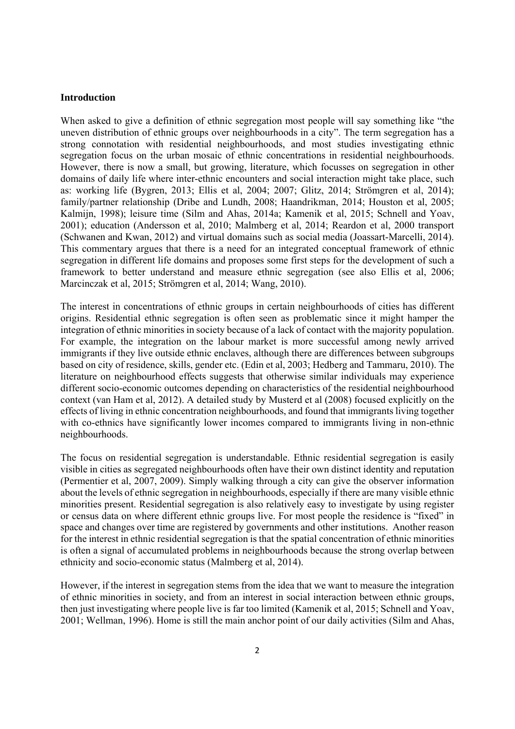#### **Introduction**

When asked to give a definition of ethnic segregation most people will say something like "the uneven distribution of ethnic groups over neighbourhoods in a city". The term segregation has a strong connotation with residential neighbourhoods, and most studies investigating ethnic segregation focus on the urban mosaic of ethnic concentrations in residential neighbourhoods. However, there is now a small, but growing, literature, which focusses on segregation in other domains of daily life where inter-ethnic encounters and social interaction might take place, such as: working life (Bygren, 2013; Ellis et al, 2004; 2007; Glitz, 2014; Strömgren et al, 2014); family/partner relationship (Dribe and Lundh, 2008; Haandrikman, 2014; Houston et al, 2005; Kalmijn, 1998); leisure time (Silm and Ahas, 2014a; Kamenik et al, 2015; Schnell and Yoav, 2001); education (Andersson et al, 2010; Malmberg et al, 2014; Reardon et al, 2000 transport (Schwanen and Kwan, 2012) and virtual domains such as social media (Joassart-Marcelli, 2014). This commentary argues that there is a need for an integrated conceptual framework of ethnic segregation in different life domains and proposes some first steps for the development of such a framework to better understand and measure ethnic segregation (see also Ellis et al, 2006; Marcinczak et al, 2015; Strömgren et al, 2014; Wang, 2010).

The interest in concentrations of ethnic groups in certain neighbourhoods of cities has different origins. Residential ethnic segregation is often seen as problematic since it might hamper the integration of ethnic minorities in society because of a lack of contact with the majority population. For example, the integration on the labour market is more successful among newly arrived immigrants if they live outside ethnic enclaves, although there are differences between subgroups based on city of residence, skills, gender etc. (Edin et al, 2003; Hedberg and Tammaru, 2010). The literature on neighbourhood effects suggests that otherwise similar individuals may experience different socio-economic outcomes depending on characteristics of the residential neighbourhood context (van Ham et al, 2012). A detailed study by Musterd et al (2008) focused explicitly on the effects of living in ethnic concentration neighbourhoods, and found that immigrants living together with co-ethnics have significantly lower incomes compared to immigrants living in non-ethnic neighbourhoods.

The focus on residential segregation is understandable. Ethnic residential segregation is easily visible in cities as segregated neighbourhoods often have their own distinct identity and reputation (Permentier et al, 2007, 2009). Simply walking through a city can give the observer information about the levels of ethnic segregation in neighbourhoods, especially if there are many visible ethnic minorities present. Residential segregation is also relatively easy to investigate by using register or census data on where different ethnic groups live. For most people the residence is "fixed" in space and changes over time are registered by governments and other institutions. Another reason for the interest in ethnic residential segregation is that the spatial concentration of ethnic minorities is often a signal of accumulated problems in neighbourhoods because the strong overlap between ethnicity and socio-economic status (Malmberg et al, 2014).

However, if the interest in segregation stems from the idea that we want to measure the integration of ethnic minorities in society, and from an interest in social interaction between ethnic groups, then just investigating where people live is far too limited (Kamenik et al, 2015; Schnell and Yoav, 2001; Wellman, 1996). Home is still the main anchor point of our daily activities (Silm and Ahas,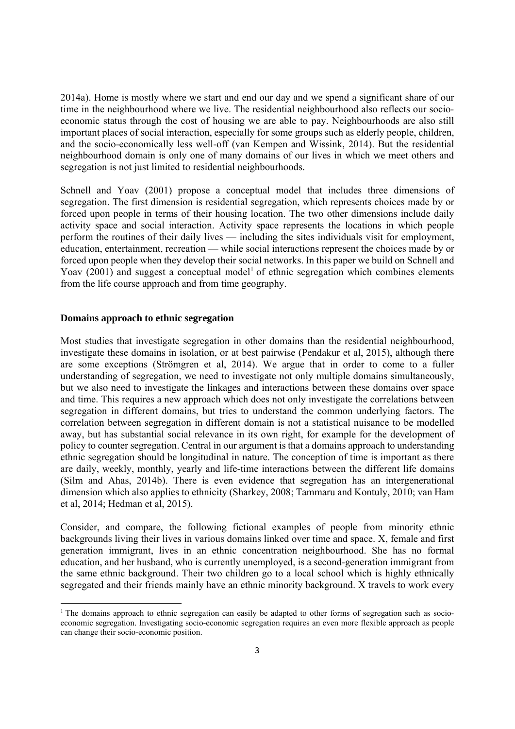2014a). Home is mostly where we start and end our day and we spend a significant share of our time in the neighbourhood where we live. The residential neighbourhood also reflects our socioeconomic status through the cost of housing we are able to pay. Neighbourhoods are also still important places of social interaction, especially for some groups such as elderly people, children, and the socio-economically less well-off (van Kempen and Wissink, 2014). But the residential neighbourhood domain is only one of many domains of our lives in which we meet others and segregation is not just limited to residential neighbourhoods.

Schnell and Yoav (2001) propose a conceptual model that includes three dimensions of segregation. The first dimension is residential segregation, which represents choices made by or forced upon people in terms of their housing location. The two other dimensions include daily activity space and social interaction. Activity space represents the locations in which people perform the routines of their daily lives — including the sites individuals visit for employment, education, entertainment, recreation — while social interactions represent the choices made by or forced upon people when they develop their social networks. In this paper we build on Schnell and Yoav  $(2001)$  and suggest a conceptual model<sup>1</sup> of ethnic segregation which combines elements from the life course approach and from time geography.

#### **Domains approach to ethnic segregation**

Most studies that investigate segregation in other domains than the residential neighbourhood, investigate these domains in isolation, or at best pairwise (Pendakur et al, 2015), although there are some exceptions (Strömgren et al, 2014). We argue that in order to come to a fuller understanding of segregation, we need to investigate not only multiple domains simultaneously, but we also need to investigate the linkages and interactions between these domains over space and time. This requires a new approach which does not only investigate the correlations between segregation in different domains, but tries to understand the common underlying factors. The correlation between segregation in different domain is not a statistical nuisance to be modelled away, but has substantial social relevance in its own right, for example for the development of policy to counter segregation. Central in our argument is that a domains approach to understanding ethnic segregation should be longitudinal in nature. The conception of time is important as there are daily, weekly, monthly, yearly and life-time interactions between the different life domains (Silm and Ahas, 2014b). There is even evidence that segregation has an intergenerational dimension which also applies to ethnicity (Sharkey, 2008; Tammaru and Kontuly, 2010; van Ham et al, 2014; Hedman et al, 2015).

Consider, and compare, the following fictional examples of people from minority ethnic backgrounds living their lives in various domains linked over time and space. X, female and first generation immigrant, lives in an ethnic concentration neighbourhood. She has no formal education, and her husband, who is currently unemployed, is a second-generation immigrant from the same ethnic background. Their two children go to a local school which is highly ethnically segregated and their friends mainly have an ethnic minority background. X travels to work every

<sup>&</sup>lt;sup>1</sup> The domains approach to ethnic segregation can easily be adapted to other forms of segregation such as socioeconomic segregation. Investigating socio-economic segregation requires an even more flexible approach as people can change their socio-economic position.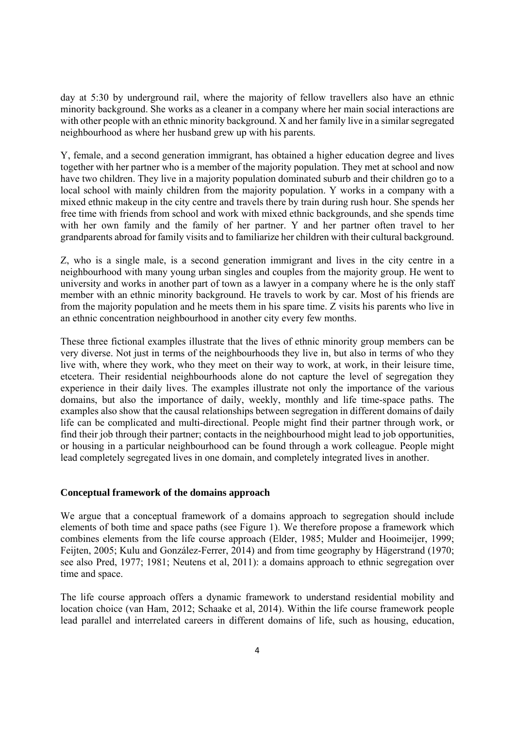day at 5:30 by underground rail, where the majority of fellow travellers also have an ethnic minority background. She works as a cleaner in a company where her main social interactions are with other people with an ethnic minority background. X and her family live in a similar segregated neighbourhood as where her husband grew up with his parents.

Y, female, and a second generation immigrant, has obtained a higher education degree and lives together with her partner who is a member of the majority population. They met at school and now have two children. They live in a majority population dominated suburb and their children go to a local school with mainly children from the majority population. Y works in a company with a mixed ethnic makeup in the city centre and travels there by train during rush hour. She spends her free time with friends from school and work with mixed ethnic backgrounds, and she spends time with her own family and the family of her partner. Y and her partner often travel to her grandparents abroad for family visits and to familiarize her children with their cultural background.

Z, who is a single male, is a second generation immigrant and lives in the city centre in a neighbourhood with many young urban singles and couples from the majority group. He went to university and works in another part of town as a lawyer in a company where he is the only staff member with an ethnic minority background. He travels to work by car. Most of his friends are from the majority population and he meets them in his spare time. Z visits his parents who live in an ethnic concentration neighbourhood in another city every few months.

These three fictional examples illustrate that the lives of ethnic minority group members can be very diverse. Not just in terms of the neighbourhoods they live in, but also in terms of who they live with, where they work, who they meet on their way to work, at work, in their leisure time, etcetera. Their residential neighbourhoods alone do not capture the level of segregation they experience in their daily lives. The examples illustrate not only the importance of the various domains, but also the importance of daily, weekly, monthly and life time-space paths. The examples also show that the causal relationships between segregation in different domains of daily life can be complicated and multi-directional. People might find their partner through work, or find their job through their partner; contacts in the neighbourhood might lead to job opportunities, or housing in a particular neighbourhood can be found through a work colleague. People might lead completely segregated lives in one domain, and completely integrated lives in another.

#### **Conceptual framework of the domains approach**

We argue that a conceptual framework of a domains approach to segregation should include elements of both time and space paths (see Figure 1). We therefore propose a framework which combines elements from the life course approach (Elder, 1985; Mulder and Hooimeijer, 1999; Feijten, 2005; Kulu and González-Ferrer, 2014) and from time geography by Hägerstrand (1970; see also Pred, 1977; 1981; Neutens et al, 2011): a domains approach to ethnic segregation over time and space.

The life course approach offers a dynamic framework to understand residential mobility and location choice (van Ham, 2012; Schaake et al, 2014). Within the life course framework people lead parallel and interrelated careers in different domains of life, such as housing, education,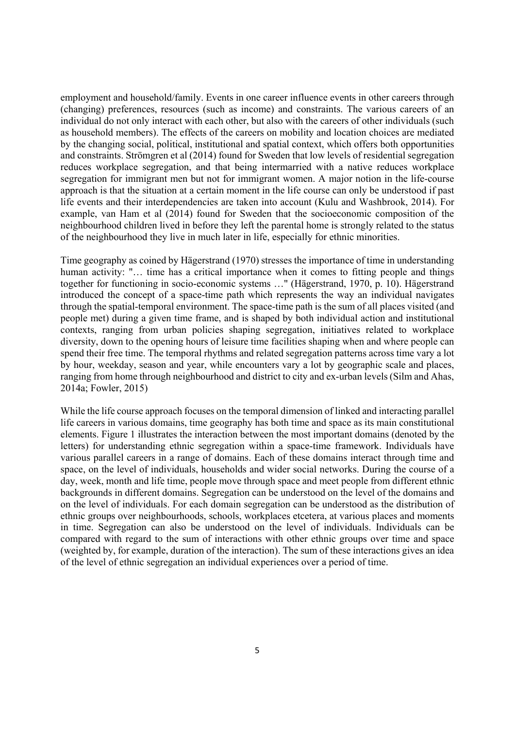employment and household/family. Events in one career influence events in other careers through (changing) preferences, resources (such as income) and constraints. The various careers of an individual do not only interact with each other, but also with the careers of other individuals (such as household members). The effects of the careers on mobility and location choices are mediated by the changing social, political, institutional and spatial context, which offers both opportunities and constraints. Strömgren et al (2014) found for Sweden that low levels of residential segregation reduces workplace segregation, and that being intermarried with a native reduces workplace segregation for immigrant men but not for immigrant women. A major notion in the life-course approach is that the situation at a certain moment in the life course can only be understood if past life events and their interdependencies are taken into account (Kulu and Washbrook, 2014). For example, van Ham et al (2014) found for Sweden that the socioeconomic composition of the neighbourhood children lived in before they left the parental home is strongly related to the status of the neighbourhood they live in much later in life, especially for ethnic minorities.

Time geography as coined by Hägerstrand (1970) stresses the importance of time in understanding human activity: "... time has a critical importance when it comes to fitting people and things together for functioning in socio-economic systems …" (Hägerstrand, 1970, p. 10). Hägerstrand introduced the concept of a space-time path which represents the way an individual navigates through the spatial-temporal environment. The space-time path is the sum of all places visited (and people met) during a given time frame, and is shaped by both individual action and institutional contexts, ranging from urban policies shaping segregation, initiatives related to workplace diversity, down to the opening hours of leisure time facilities shaping when and where people can spend their free time. The temporal rhythms and related segregation patterns across time vary a lot by hour, weekday, season and year, while encounters vary a lot by geographic scale and places, ranging from home through neighbourhood and district to city and ex-urban levels (Silm and Ahas, 2014a; Fowler, 2015)

While the life course approach focuses on the temporal dimension of linked and interacting parallel life careers in various domains, time geography has both time and space as its main constitutional elements. Figure 1 illustrates the interaction between the most important domains (denoted by the letters) for understanding ethnic segregation within a space-time framework. Individuals have various parallel careers in a range of domains. Each of these domains interact through time and space, on the level of individuals, households and wider social networks. During the course of a day, week, month and life time, people move through space and meet people from different ethnic backgrounds in different domains. Segregation can be understood on the level of the domains and on the level of individuals. For each domain segregation can be understood as the distribution of ethnic groups over neighbourhoods, schools, workplaces etcetera, at various places and moments in time. Segregation can also be understood on the level of individuals. Individuals can be compared with regard to the sum of interactions with other ethnic groups over time and space (weighted by, for example, duration of the interaction). The sum of these interactions gives an idea of the level of ethnic segregation an individual experiences over a period of time.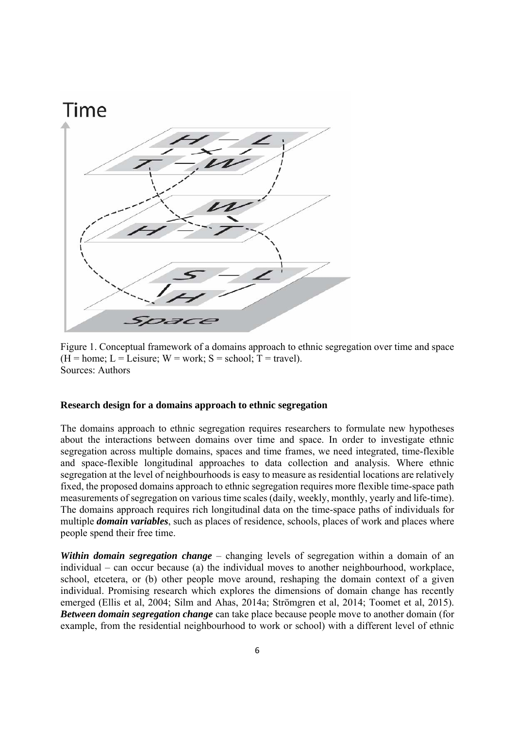

Figure 1. Conceptual framework of a domains approach to ethnic segregation over time and space  $(H = home; L = Leisure; W = work; S = school; T = travel).$ Sources: Authors

#### **Research design for a domains approach to ethnic segregation**

The domains approach to ethnic segregation requires researchers to formulate new hypotheses about the interactions between domains over time and space. In order to investigate ethnic segregation across multiple domains, spaces and time frames, we need integrated, time-flexible and space-flexible longitudinal approaches to data collection and analysis. Where ethnic segregation at the level of neighbourhoods is easy to measure as residential locations are relatively fixed, the proposed domains approach to ethnic segregation requires more flexible time-space path measurements of segregation on various time scales (daily, weekly, monthly, yearly and life-time). The domains approach requires rich longitudinal data on the time-space paths of individuals for multiple *domain variables*, such as places of residence, schools, places of work and places where people spend their free time.

*Within domain segregation change* – changing levels of segregation within a domain of an individual – can occur because (a) the individual moves to another neighbourhood, workplace, school, etcetera, or (b) other people move around, reshaping the domain context of a given individual. Promising research which explores the dimensions of domain change has recently emerged (Ellis et al, 2004; Silm and Ahas, 2014a; Strömgren et al, 2014; Toomet et al, 2015). *Between domain segregation change* can take place because people move to another domain (for example, from the residential neighbourhood to work or school) with a different level of ethnic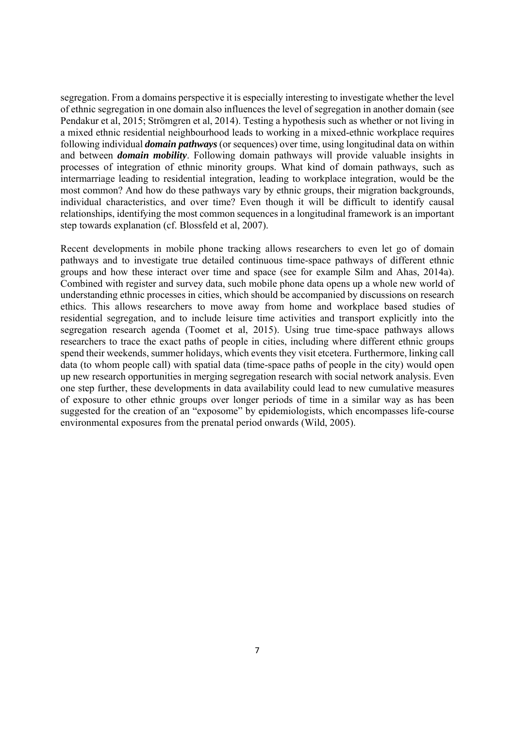segregation. From a domains perspective it is especially interesting to investigate whether the level of ethnic segregation in one domain also influences the level of segregation in another domain (see Pendakur et al, 2015; Strömgren et al, 2014). Testing a hypothesis such as whether or not living in a mixed ethnic residential neighbourhood leads to working in a mixed-ethnic workplace requires following individual *domain pathways* (or sequences) over time, using longitudinal data on within and between *domain mobility*. Following domain pathways will provide valuable insights in processes of integration of ethnic minority groups. What kind of domain pathways, such as intermarriage leading to residential integration, leading to workplace integration, would be the most common? And how do these pathways vary by ethnic groups, their migration backgrounds, individual characteristics, and over time? Even though it will be difficult to identify causal relationships, identifying the most common sequences in a longitudinal framework is an important step towards explanation (cf. Blossfeld et al, 2007).

Recent developments in mobile phone tracking allows researchers to even let go of domain pathways and to investigate true detailed continuous time-space pathways of different ethnic groups and how these interact over time and space (see for example Silm and Ahas, 2014a). Combined with register and survey data, such mobile phone data opens up a whole new world of understanding ethnic processes in cities, which should be accompanied by discussions on research ethics. This allows researchers to move away from home and workplace based studies of residential segregation, and to include leisure time activities and transport explicitly into the segregation research agenda (Toomet et al, 2015). Using true time-space pathways allows researchers to trace the exact paths of people in cities, including where different ethnic groups spend their weekends, summer holidays, which events they visit etcetera. Furthermore, linking call data (to whom people call) with spatial data (time-space paths of people in the city) would open up new research opportunities in merging segregation research with social network analysis. Even one step further, these developments in data availability could lead to new cumulative measures of exposure to other ethnic groups over longer periods of time in a similar way as has been suggested for the creation of an "exposome" by epidemiologists, which encompasses life-course environmental exposures from the prenatal period onwards (Wild, 2005).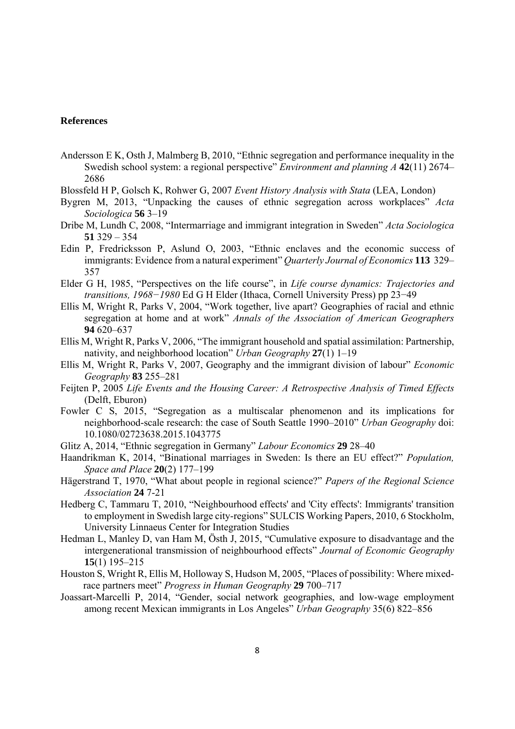#### **References**

- Andersson E K, Osth J, Malmberg B, 2010, "Ethnic segregation and performance inequality in the Swedish school system: a regional perspective" *Environment and planning A* **42**(11) 2674– 2686
- Blossfeld H P, Golsch K, Rohwer G, 2007 *Event History Analysis with Stata* (LEA, London)
- Bygren M, 2013, "Unpacking the causes of ethnic segregation across workplaces" *Acta Sociologica* **56** 3–19
- Dribe M, Lundh C, 2008, "Intermarriage and immigrant integration in Sweden" *Acta Sociologica*  **51** 329 – 354
- Edin P, Fredricksson P, Aslund O, 2003, "Ethnic enclaves and the economic success of immigrants: Evidence from a natural experiment" *Quarterly Journal of Economics* **113** 329– 357
- Elder G H, 1985, "Perspectives on the life course", in *Life course dynamics: Trajectories and transitions, 1968−1980* Ed G H Elder (Ithaca, Cornell University Press) pp 23−49
- Ellis M, Wright R, Parks V, 2004, "Work together, live apart? Geographies of racial and ethnic segregation at home and at work" *Annals of the Association of American Geographers*  **94** 620–637
- Ellis M, Wright R, Parks V, 2006, "The immigrant household and spatial assimilation: Partnership, nativity, and neighborhood location" *Urban Geography* **27**(1) 1–19
- Ellis M, Wright R, Parks V, 2007, Geography and the immigrant division of labour" *Economic Geography* **83** 255–281
- Feijten P, 2005 *Life Events and the Housing Career: A Retrospective Analysis of Timed Effects* (Delft, Eburon)
- Fowler C S, 2015, "Segregation as a multiscalar phenomenon and its implications for neighborhood-scale research: the case of South Seattle 1990–2010" *Urban Geography* doi: 10.1080/02723638.2015.1043775
- Glitz A, 2014, "Ethnic segregation in Germany" *Labour Economics* **29** 28–40
- Haandrikman K, 2014, "Binational marriages in Sweden: Is there an EU effect?" *Population, Space and Place* **20**(2) 177–199
- Hägerstrand T, 1970, "What about people in regional science?" *Papers of the Regional Science Association* **24** 7-21
- Hedberg C, Tammaru T, 2010, "Neighbourhood effects' and 'City effects': Immigrants' transition to employment in Swedish large city-regions" SULCIS Working Papers, 2010, 6 Stockholm, University Linnaeus Center for Integration Studies
- Hedman L, Manley D, van Ham M, Östh J, 2015, "Cumulative exposure to disadvantage and the intergenerational transmission of neighbourhood effects" *Journal of Economic Geography* **15**(1) 195–215
- Houston S, Wright R, Ellis M, Holloway S, Hudson M, 2005, "Places of possibility: Where mixedrace partners meet" *Progress in Human Geography* **29** 700–717
- Joassart-Marcelli P, 2014, "Gender, social network geographies, and low-wage employment among recent Mexican immigrants in Los Angeles" *Urban Geography* 35(6) 822–856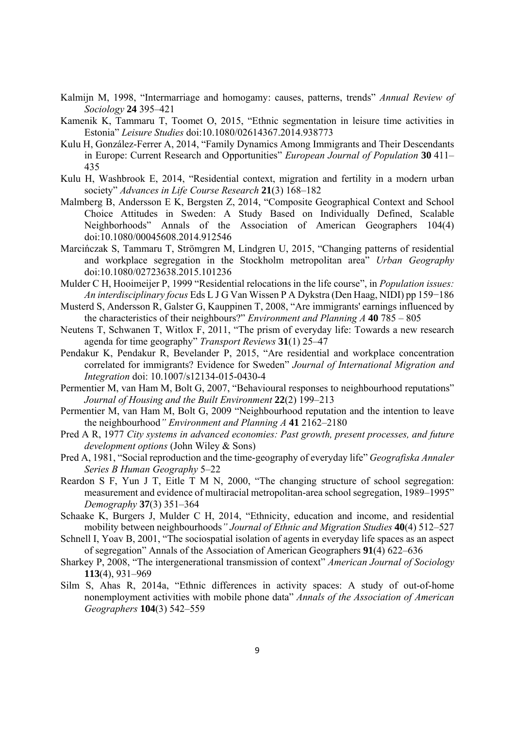- Kalmijn M, 1998, "Intermarriage and homogamy: causes, patterns, trends" *Annual Review of Sociology* **24** 395–421
- Kamenik K, Tammaru T, Toomet O, 2015, "Ethnic segmentation in leisure time activities in Estonia" *Leisure Studies* doi:10.1080/02614367.2014.938773
- Kulu H, González-Ferrer A, 2014, "Family Dynamics Among Immigrants and Their Descendants in Europe: Current Research and Opportunities" *European Journal of Population* **30** 411– 435
- Kulu H, Washbrook E, 2014, "Residential context, migration and fertility in a modern urban society" *Advances in Life Course Research* **21**(3) 168–182
- Malmberg B, Andersson E K, Bergsten Z, 2014, "Composite Geographical Context and School Choice Attitudes in Sweden: A Study Based on Individually Defined, Scalable Neighborhoods" Annals of the Association of American Geographers 104(4) doi:10.1080/00045608.2014.912546
- Marcińczak S, Tammaru T, Strömgren M, Lindgren U, 2015, "Changing patterns of residential and workplace segregation in the Stockholm metropolitan area" *Urban Geography* doi:10.1080/02723638.2015.101236
- Mulder C H, Hooimeijer P, 1999 "Residential relocations in the life course", in *Population issues: An interdisciplinary focus* Eds L J G Van Wissen P A Dykstra (Den Haag, NIDI) pp 159−186
- Musterd S, Andersson R, Galster G, Kauppinen T, 2008, "Are immigrants' earnings influenced by the characteristics of their neighbours?" *Environment and Planning A* **40** 785 – 805
- Neutens T, Schwanen T, Witlox F, 2011, "The prism of everyday life: Towards a new research agenda for time geography" *Transport Reviews* **31**(1) 25–47
- Pendakur K, Pendakur R, Bevelander P, 2015, "Are residential and workplace concentration correlated for immigrants? Evidence for Sweden" *Journal of International Migration and Integration* doi: 10.1007/s12134-015-0430-4
- Permentier M, van Ham M, Bolt G, 2007, "Behavioural responses to neighbourhood reputations" *Journal of Housing and the Built Environment* **22**(2) 199–213
- Permentier M, van Ham M, Bolt G, 2009 "Neighbourhood reputation and the intention to leave the neighbourhood*" Environment and Planning A* **41** 2162–2180
- Pred A R, 1977 *City systems in advanced economies: Past growth, present processes, and future development options* (John Wiley & Sons)
- Pred A, 1981, "Social reproduction and the time-geography of everyday life" *Geografiska Annaler Series B Human Geography* 5–22
- Reardon S F, Yun J T, Eitle T M N, 2000, "The changing structure of school segregation: measurement and evidence of multiracial metropolitan-area school segregation, 1989–1995" *Demography* **37**(3) 351–364
- Schaake K, Burgers J, Mulder C H, 2014, "Ethnicity, education and income, and residential mobility between neighbourhoods*" Journal of Ethnic and Migration Studies* **40**(4) 512–527
- Schnell I, Yoav B, 2001, "The sociospatial isolation of agents in everyday life spaces as an aspect of segregation" Annals of the Association of American Geographers **91**(4) 622–636
- Sharkey P, 2008, "The intergenerational transmission of context" *American Journal of Sociology* **113**(4), 931–969
- Silm S, Ahas R, 2014a, "Ethnic differences in activity spaces: A study of out-of-home nonemployment activities with mobile phone data" *Annals of the Association of American Geographers* **104**(3) 542–559